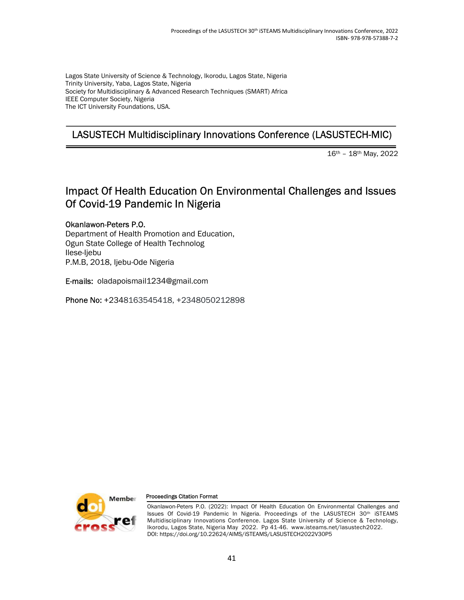Lagos State University of Science & Technology, Ikorodu, Lagos State, Nigeria Trinity University, Yaba, Lagos State, Nigeria Society for Multidisciplinary & Advanced Research Techniques (SMART) Africa IEEE Computer Society, Nigeria The ICT University Foundations, USA.

# LASUSTECH Multidisciplinary Innovations Conference (LASUSTECH-MIC)

16th – 18th May, 2022

## Impact Of Health Education On Environmental Challenges and Issues Of Covid-19 Pandemic In Nigeria

Okanlawon-Peters P.O. Department of Health Promotion and Education, Ogun State College of Health Technolog Ilese-Ijebu P.M.B, 2018, Ijebu-Ode Nigeria

E-mails: oladapoismail1234@gmail.com

Phone No: +2348163545418, +2348050212898



#### Proceedings Citation Format

Okanlawon-Peters P.O. (2022): Impact Of Health Education On Environmental Challenges and Issues Of Covid-19 Pandemic In Nigeria. Proceedings of the LASUSTECH 30th iSTEAMS Multidisciplinary Innovations Conference. Lagos State University of Science & Technology, Ikorodu, Lagos State, Nigeria May 2022. Pp 41-46. www.isteams.net/lasustech2022. DOI: https://doi.org/10.22624/AIMS/iSTEAMS/LASUSTECH2022V30P5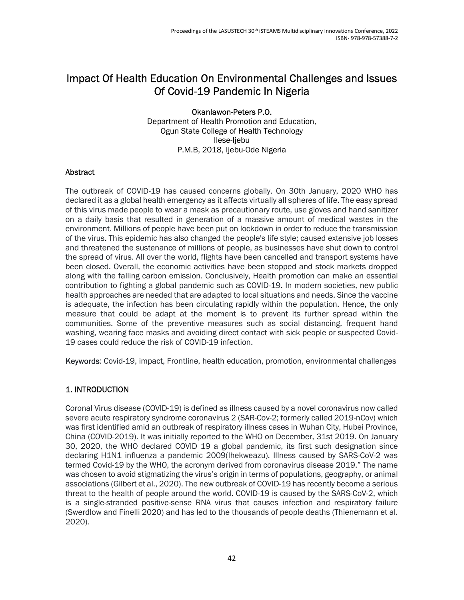### Impact Of Health Education On Environmental Challenges and Issues Of Covid-19 Pandemic In Nigeria

#### Okanlawon-Peters P.O.

Department of Health Promotion and Education, Ogun State College of Health Technology Ilese-Ijebu P.M.B, 2018, Ijebu-Ode Nigeria

#### Abstract

The outbreak of COVID-19 has caused concerns globally. On 30th January, 2020 WHO has declared it as a global health emergency as it affects virtually all spheres of life. The easy spread of this virus made people to wear a mask as precautionary route, use gloves and hand sanitizer on a daily basis that resulted in generation of a massive amount of medical wastes in the environment. Millions of people have been put on lockdown in order to reduce the transmission of the virus. This epidemic has also changed the people's life style; caused extensive job losses and threatened the sustenance of millions of people, as businesses have shut down to control the spread of virus. All over the world, flights have been cancelled and transport systems have been closed. Overall, the economic activities have been stopped and stock markets dropped along with the falling carbon emission. Conclusively, Health promotion can make an essential contribution to fighting a global pandemic such as COVID-19. In modern societies, new public health approaches are needed that are adapted to local situations and needs. Since the vaccine is adequate, the infection has been circulating rapidly within the population. Hence, the only measure that could be adapt at the moment is to prevent its further spread within the communities. Some of the preventive measures such as social distancing, frequent hand washing, wearing face masks and avoiding direct contact with sick people or suspected Covid-19 cases could reduce the risk of COVID-19 infection.

Keywords: Covid-19, impact, Frontline, health education, promotion, environmental challenges

### 1. INTRODUCTION

Coronal Virus disease (COVID-19) is defined as illness caused by a novel coronavirus now called severe acute respiratory syndrome coronavirus 2 (SAR-Cov-2; formerly called 2019-nCov) which was first identified amid an outbreak of respiratory illness cases in Wuhan City, Hubei Province, China (COVID-2019). It was initially reported to the WHO on December, 31st 2019. On January 30, 2020, the WHO declared COVID 19 a global pandemic, its first such designation since declaring H1N1 influenza a pandemic 2009(Ihekweazu). Illness caused by SARS-CoV-2 was termed Covid-19 by the WHO, the acronym derived from coronavirus disease 2019." The name was chosen to avoid stigmatizing the virus's origin in terms of populations, geography, or animal associations (Gilbert et al., 2020). The new outbreak of COVID-19 has recently become a serious threat to the health of people around the world. COVID-19 is caused by the SARS-CoV-2, which is a single-stranded positive-sense RNA virus that causes infection and respiratory failure (Swerdlow and Finelli 2020) and has led to the thousands of people deaths (Thienemann et al. 2020).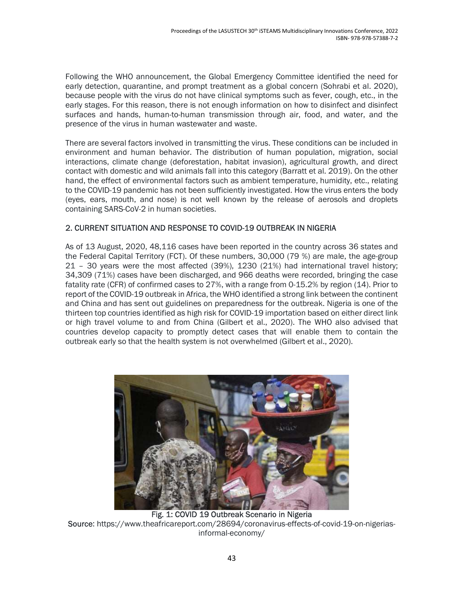Following the WHO announcement, the Global Emergency Committee identified the need for early detection, quarantine, and prompt treatment as a global concern (Sohrabi et al. 2020), because people with the virus do not have clinical symptoms such as fever, cough, etc., in the early stages. For this reason, there is not enough information on how to disinfect and disinfect surfaces and hands, human-to-human transmission through air, food, and water, and the presence of the virus in human wastewater and waste.

There are several factors involved in transmitting the virus. These conditions can be included in environment and human behavior. The distribution of human population, migration, social interactions, climate change (deforestation, habitat invasion), agricultural growth, and direct contact with domestic and wild animals fall into this category (Barratt et al. 2019). On the other hand, the effect of environmental factors such as ambient temperature, humidity, etc., relating to the COVID-19 pandemic has not been sufficiently investigated. How the virus enters the body (eyes, ears, mouth, and nose) is not well known by the release of aerosols and droplets containing SARS-CoV-2 in human societies.

### 2. CURRENT SITUATION AND RESPONSE TO COVID-19 OUTBREAK IN NIGERIA

As of 13 August, 2020, 48,116 cases have been reported in the country across 36 states and the Federal Capital Territory (FCT). Of these numbers, 30,000 (79 %) are male, the age-group 21 – 30 years were the most affected (39%), 1230 (21%) had international travel history; 34,309 (71%) cases have been discharged, and 966 deaths were recorded, bringing the case fatality rate (CFR) of confirmed cases to 27%, with a range from 0-15.2% by region (14). Prior to report of the COVID-19 outbreak in Africa, the WHO identified a strong link between the continent and China and has sent out guidelines on preparedness for the outbreak. Nigeria is one of the thirteen top countries identified as high risk for COVID-19 importation based on either direct link or high travel volume to and from China (Gilbert et al., 2020). The WHO also advised that countries develop capacity to promptly detect cases that will enable them to contain the outbreak early so that the health system is not overwhelmed (Gilbert et al., 2020).



Fig. 1: COVID 19 Outbreak Scenario in Nigeria Source: https://www.theafricareport.com/28694/coronavirus-effects-of-covid-19-on-nigeriasinformal-economy/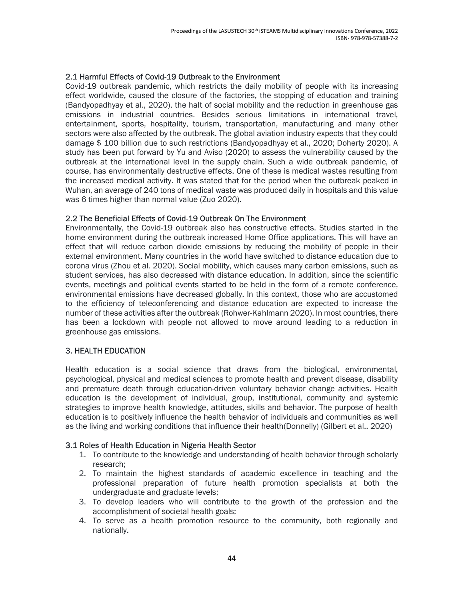#### 2.1 Harmful Effects of Covid-19 Outbreak to the Environment

Covid-19 outbreak pandemic, which restricts the daily mobility of people with its increasing effect worldwide, caused the closure of the factories, the stopping of education and training (Bandyopadhyay et al., 2020), the halt of social mobility and the reduction in greenhouse gas emissions in industrial countries. Besides serious limitations in international travel, entertainment, sports, hospitality, tourism, transportation, manufacturing and many other sectors were also affected by the outbreak. The global aviation industry expects that they could damage \$ 100 billion due to such restrictions (Bandyopadhyay et al., 2020; Doherty 2020). A study has been put forward by Yu and Aviso (2020) to assess the vulnerability caused by the outbreak at the international level in the supply chain. Such a wide outbreak pandemic, of course, has environmentally destructive effects. One of these is medical wastes resulting from the increased medical activity. It was stated that for the period when the outbreak peaked in Wuhan, an average of 240 tons of medical waste was produced daily in hospitals and this value was 6 times higher than normal value (Zuo 2020).

#### 2.2 The Beneficial Effects of Covid-19 Outbreak On The Environment

Environmentally, the Covid-19 outbreak also has constructive effects. Studies started in the home environment during the outbreak increased Home Office applications. This will have an effect that will reduce carbon dioxide emissions by reducing the mobility of people in their external environment. Many countries in the world have switched to distance education due to corona virus (Zhou et al. 2020). Social mobility, which causes many carbon emissions, such as student services, has also decreased with distance education. In addition, since the scientific events, meetings and political events started to be held in the form of a remote conference, environmental emissions have decreased globally. In this context, those who are accustomed to the efficiency of teleconferencing and distance education are expected to increase the number of these activities after the outbreak (Rohwer-Kahlmann 2020). In most countries, there has been a lockdown with people not allowed to move around leading to a reduction in greenhouse gas emissions.

#### 3. HEALTH EDUCATION

Health education is a social science that draws from the biological, environmental, psychological, physical and medical sciences to promote health and prevent disease, disability and premature death through education-driven voluntary behavior change activities. Health education is the development of individual, group, institutional, community and systemic strategies to improve health knowledge, attitudes, skills and behavior. The purpose of health education is to positively influence the health behavior of individuals and communities as well as the living and working conditions that influence their health(Donnelly) (Gilbert et al., 2020)

#### 3.1 Roles of Health Education in Nigeria Health Sector

- 1. To contribute to the knowledge and understanding of health behavior through scholarly research;
- 2. To maintain the highest standards of academic excellence in teaching and the professional preparation of future health promotion specialists at both the undergraduate and graduate levels;
- 3. To develop leaders who will contribute to the growth of the profession and the accomplishment of societal health goals;
- 4. To serve as a health promotion resource to the community, both regionally and nationally.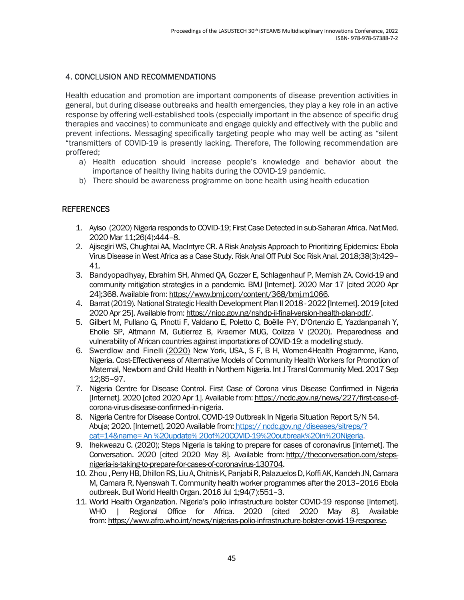### 4. CONCLUSION AND RECOMMENDATIONS

Health education and promotion are important components of disease prevention activities in general, but during disease outbreaks and health emergencies, they play a key role in an active response by offering well-established tools (especially important in the absence of specific drug therapies and vaccines) to communicate and engage quickly and effectively with the public and prevent infections. Messaging specifically targeting people who may well be acting as "silent "transmitters of COVID-19 is presently lacking. Therefore, The following recommendation are proffered;

- a) Health education should increase people's knowledge and behavior about the importance of healthy living habits during the COVID-19 pandemic.
- b) There should be awareness programme on bone health using health education

### REFERENCES

- 1. Ayiso (2020) Nigeria responds to COVID-19; First Case Detected in sub-Saharan Africa. Nat Med. 2020 Mar 11;26(4):444–8.
- 2. Ajisegiri WS, Chughtai AA, MacIntyre CR. A Risk Analysis Approach to Prioritizing Epidemics: Ebola Virus Disease in West Africa as a Case Study. Risk Anal Off Publ Soc Risk Anal. 2018;38(3):429– 41.
- 3. Bandyopadhyay, Ebrahim SH, Ahmed QA, Gozzer E, Schlagenhauf P, Memish ZA. Covid-19 and community mitigation strategies in a pandemic. BMJ [Internet]. 2020 Mar 17 [cited 2020 Apr 24];368. Available from: https://www.bmj.com/content/368/bmj.m1066.
- 4. Barrat (2019). National Strategic Health Development Plan II 2018 2022 [Internet]. 2019 [cited 2020 Apr 25]. Available from: https://nipc.gov.ng/nshdp-ii-final-version-health-plan-pdf/.
- 5. Gilbert M, Pullano G, Pinotti F, Valdano E, Poletto C, Boëlle P-Y, D'Ortenzio E, Yazdanpanah Y, Eholie SP, Altmann M, Gutierrez B, Kraemer MUG, Colizza V (2020). Preparedness and vulnerability of African countries against importations of COVID-19: a modelling study.
- 6. Swerdlow and Finelli (2020) New York, USA., S F, B H, Women4Health Programme, Kano, Nigeria. Cost-Effectiveness of Alternative Models of Community Health Workers for Promotion of Maternal, Newborn and Child Health in Northern Nigeria. Int J Transl Community Med. 2017 Sep 12;85–97.
- 7. Nigeria Centre for Disease Control. First Case of Corona virus Disease Confirmed in Nigeria [Internet]. 2020 [cited 2020 Apr 1]. Available from: https://ncdc.gov.ng/news/227/first-case-ofcorona-virus-disease-confirmed-in-nigeria.
- 8. Nigeria Centre for Disease Control. COVID-19 Outbreak In Nigeria Situation Report S/N 54. Abuja; 2020. [Internet]. 2020 Available from: https:// ncdc.gov.ng /diseases/sitreps/? cat=14&name= An %20update% 20of%20COVID-19%20outbreak%20in%20Nigeria.
- 9. Ihekweazu C. (2020); Steps Nigeria is taking to prepare for cases of coronavirus [Internet]. The Conversation. 2020 [cited 2020 May 8]. Available from: http://theconversation.com/stepsnigeria-is-taking-to-prepare-for-cases-of-coronavirus-130704.
- 10. Zhou , Perry HB, Dhillon RS, Liu A, Chitnis K, Panjabi R, Palazuelos D, Koffi AK, Kandeh JN, Camara M, Camara R, Nyenswah T. Community health worker programmes after the 2013–2016 Ebola outbreak. Bull World Health Organ. 2016 Jul 1;94(7):551–3.
- 11. World Health Organization. Nigeria's polio infrastructure bolster COVID-19 response [Internet]. WHO | Regional Office for Africa. 2020 [cited 2020 May 8]. Available from: https://www.afro.who.int/news/nigerias-polio-infrastructure-bolster-covid-19-response.